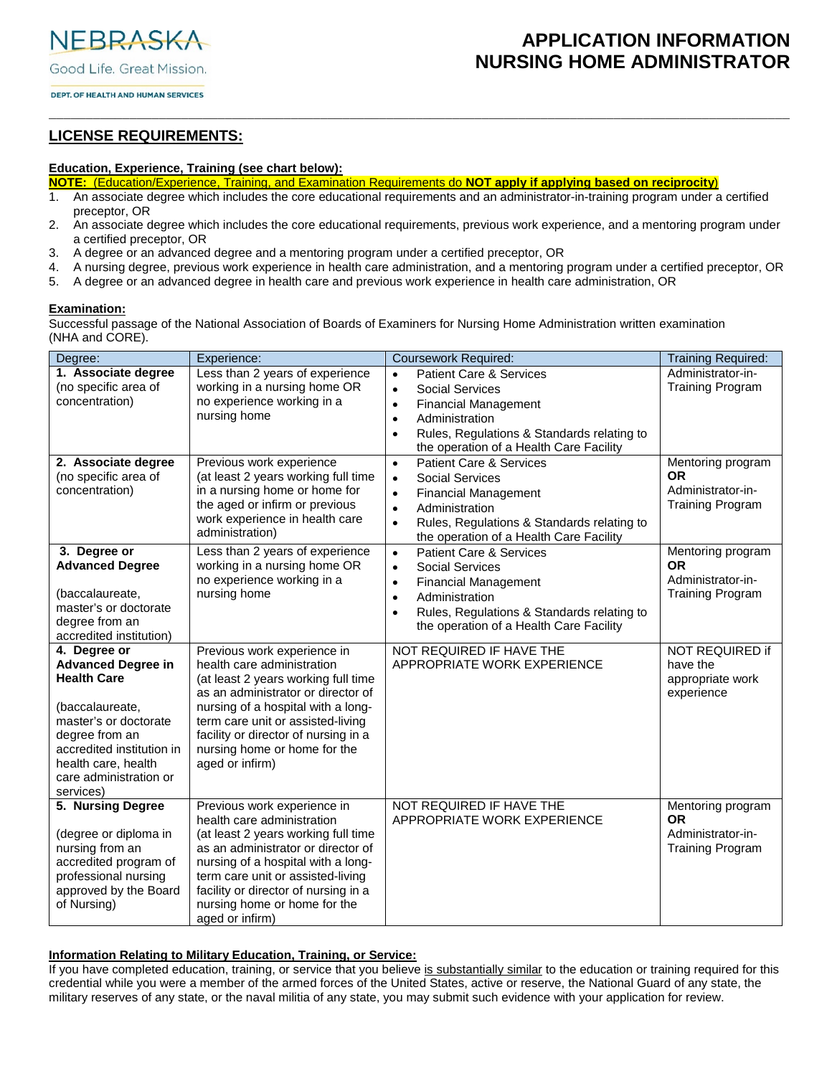NEBRASKA

Good Life. Great Mission.

## **APPLICATION INFORMATION NURSING HOME ADMINISTRATOR**

DEPT. OF HEALTH AND HUMAN SERVICES

## **LICENSE REQUIREMENTS:**

#### **Education, Experience, Training (see chart below):**

- **NOTE:** (Education/Experience, Training, and Examination Requirements do **NOT apply if applying based on reciprocity**)
- 1. An associate degree which includes the core educational requirements and an administrator-in-training program under a certified preceptor, OR

\_\_\_\_\_\_\_\_\_\_\_\_\_\_\_\_\_\_\_\_\_\_\_\_\_\_\_\_\_\_\_\_\_\_\_\_\_\_\_\_\_\_\_\_\_\_\_\_\_\_\_\_\_\_\_\_\_\_\_\_\_\_\_\_\_\_\_\_\_\_\_\_\_\_\_\_\_\_\_\_\_\_\_\_\_\_\_\_\_\_\_\_\_\_\_\_\_\_\_\_\_

- 2. An associate degree which includes the core educational requirements, previous work experience, and a mentoring program under a certified preceptor, OR
- 3. A degree or an advanced degree and a mentoring program under a certified preceptor, OR
- 4. A nursing degree, previous work experience in health care administration, and a mentoring program under a certified preceptor, OR
- 5. A degree or an advanced degree in health care and previous work experience in health care administration, OR

#### **Examination:**

Successful passage of the National Association of Boards of Examiners for Nursing Home Administration written examination (NHA and CORE).

| Degree:                                                                                                                                                                                                                  | Experience:                                                                                                                                                                                                                                                                                                  | <b>Coursework Required:</b>                                                                                                                                                                                                                                             | <b>Training Required:</b>                                                      |
|--------------------------------------------------------------------------------------------------------------------------------------------------------------------------------------------------------------------------|--------------------------------------------------------------------------------------------------------------------------------------------------------------------------------------------------------------------------------------------------------------------------------------------------------------|-------------------------------------------------------------------------------------------------------------------------------------------------------------------------------------------------------------------------------------------------------------------------|--------------------------------------------------------------------------------|
| 1. Associate degree<br>(no specific area of<br>concentration)                                                                                                                                                            | Less than 2 years of experience<br>working in a nursing home OR<br>no experience working in a<br>nursing home                                                                                                                                                                                                | <b>Patient Care &amp; Services</b><br>$\bullet$<br><b>Social Services</b><br>$\bullet$<br><b>Financial Management</b><br>$\bullet$<br>Administration<br>$\bullet$<br>Rules, Regulations & Standards relating to<br>$\bullet$<br>the operation of a Health Care Facility | Administrator-in-<br><b>Training Program</b>                                   |
| 2. Associate degree<br>(no specific area of<br>concentration)                                                                                                                                                            | Previous work experience<br>(at least 2 years working full time<br>in a nursing home or home for<br>the aged or infirm or previous<br>work experience in health care<br>administration)                                                                                                                      | <b>Patient Care &amp; Services</b><br>$\bullet$<br><b>Social Services</b><br>$\bullet$<br><b>Financial Management</b><br>$\bullet$<br>Administration<br>$\bullet$<br>Rules, Regulations & Standards relating to<br>$\bullet$<br>the operation of a Health Care Facility | Mentoring program<br><b>OR</b><br>Administrator-in-<br><b>Training Program</b> |
| 3. Degree or<br><b>Advanced Degree</b><br>(baccalaureate,<br>master's or doctorate<br>degree from an<br>accredited institution)                                                                                          | Less than 2 years of experience<br>working in a nursing home OR<br>no experience working in a<br>nursing home                                                                                                                                                                                                | <b>Patient Care &amp; Services</b><br>$\bullet$<br><b>Social Services</b><br>$\bullet$<br><b>Financial Management</b><br>$\bullet$<br>Administration<br>$\bullet$<br>Rules, Regulations & Standards relating to<br>$\bullet$<br>the operation of a Health Care Facility | Mentoring program<br><b>OR</b><br>Administrator-in-<br><b>Training Program</b> |
| 4. Degree or<br><b>Advanced Degree in</b><br><b>Health Care</b><br>(baccalaureate,<br>master's or doctorate<br>degree from an<br>accredited institution in<br>health care, health<br>care administration or<br>services) | Previous work experience in<br>health care administration<br>(at least 2 years working full time<br>as an administrator or director of<br>nursing of a hospital with a long-<br>term care unit or assisted-living<br>facility or director of nursing in a<br>nursing home or home for the<br>aged or infirm) | NOT REQUIRED IF HAVE THE<br>APPROPRIATE WORK EXPERIENCE                                                                                                                                                                                                                 | NOT REQUIRED if<br>have the<br>appropriate work<br>experience                  |
| 5. Nursing Degree<br>(degree or diploma in<br>nursing from an<br>accredited program of<br>professional nursing<br>approved by the Board<br>of Nursing)                                                                   | Previous work experience in<br>health care administration<br>(at least 2 years working full time<br>as an administrator or director of<br>nursing of a hospital with a long-<br>term care unit or assisted-living<br>facility or director of nursing in a<br>nursing home or home for the<br>aged or infirm) | NOT REQUIRED IF HAVE THE<br>APPROPRIATE WORK EXPERIENCE                                                                                                                                                                                                                 | Mentoring program<br><b>OR</b><br>Administrator-in-<br><b>Training Program</b> |

#### **Information Relating to Military Education, Training, or Service:**

If you have completed education, training, or service that you believe is substantially similar to the education or training required for this credential while you were a member of the armed forces of the United States, active or reserve, the National Guard of any state, the military reserves of any state, or the naval militia of any state, you may submit such evidence with your application for review.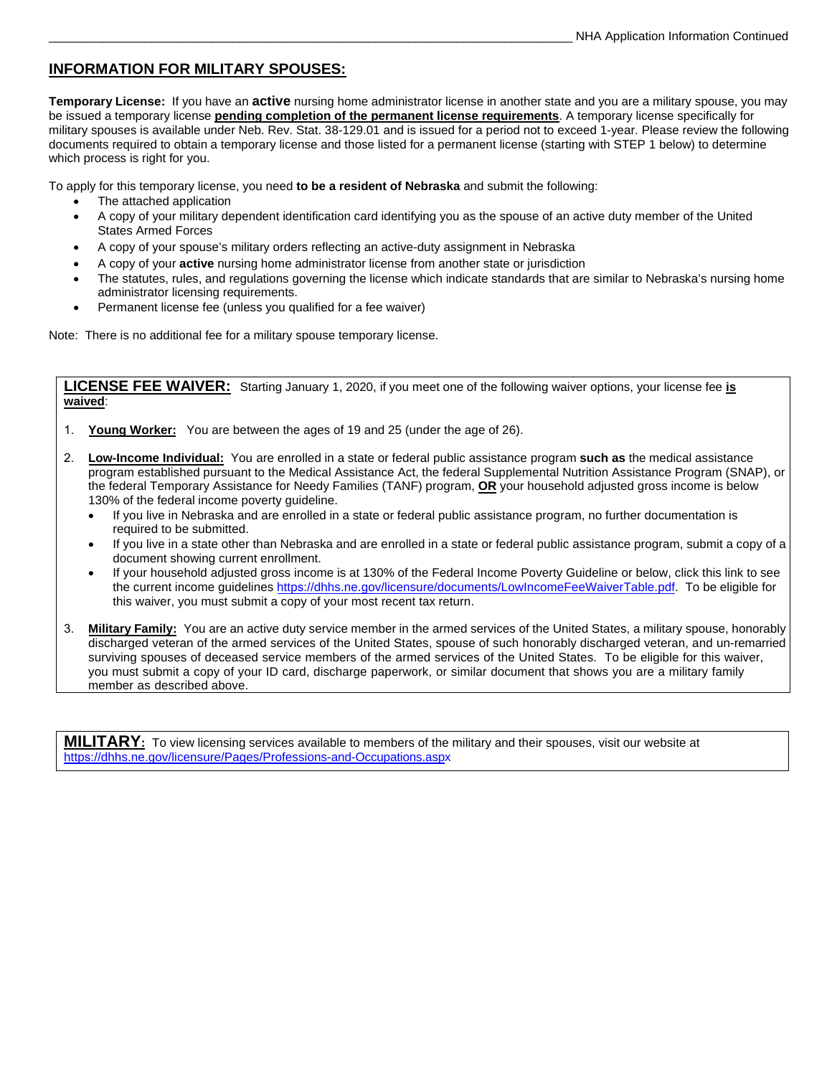## **INFORMATION FOR MILITARY SPOUSES:**

**Temporary License:** If you have an **active** nursing home administrator license in another state and you are a military spouse, you may be issued a temporary license **pending completion of the permanent license requirements**. A temporary license specifically for military spouses is available under Neb. Rev. Stat. 38-129.01 and is issued for a period not to exceed 1-year. Please review the following documents required to obtain a temporary license and those listed for a permanent license (starting with STEP 1 below) to determine which process is right for you.

To apply for this temporary license, you need **to be a resident of Nebraska** and submit the following:

- The attached application
- A copy of your military dependent identification card identifying you as the spouse of an active duty member of the United States Armed Forces
- A copy of your spouse's military orders reflecting an active-duty assignment in Nebraska
- A copy of your **active** nursing home administrator license from another state or jurisdiction
- The statutes, rules, and regulations governing the license which indicate standards that are similar to Nebraska's nursing home administrator licensing requirements.
- Permanent license fee (unless you qualified for a fee waiver)

Note: There is no additional fee for a military spouse temporary license.

**LICENSE FEE WAIVER:** Starting January 1, 2020, if you meet one of the following waiver options, your license fee **is waived**:

- 1. **Young Worker:** You are between the ages of 19 and 25 (under the age of 26).
- 2. **Low-Income Individual:** You are enrolled in a state or federal public assistance program **such as** the medical assistance program established pursuant to the Medical Assistance Act, the federal Supplemental Nutrition Assistance Program (SNAP), or the federal Temporary Assistance for Needy Families (TANF) program, **OR** your household adjusted gross income is below 130% of the federal income poverty guideline.
	- If you live in Nebraska and are enrolled in a state or federal public assistance program, no further documentation is required to be submitted.
	- If you live in a state other than Nebraska and are enrolled in a state or federal public assistance program, submit a copy of a document showing current enrollment.
	- If your household adjusted gross income is at 130% of the Federal Income Poverty Guideline or below, click this link to see the current income guidelines https[://dhhs.ne.gov/licensure/documents/LowIncomeFeeWaiverTable.pdf.](https://dhhs.ne.gov/licensure/documents/LowIncomeFeeWaiverTable.pdf) To be eligible for this waiver, you must submit a copy of your most recent tax return.
- 3. **Military Family:** You are an active duty service member in the armed services of the United States, a military spouse, honorably discharged veteran of the armed services of the United States, spouse of such honorably discharged veteran, and un-remarried surviving spouses of deceased service members of the armed services of the United States. To be eligible for this waiver, you must submit a copy of your ID card, discharge paperwork, or similar document that shows you are a military family member as described above.

**MILITARY:** To view licensing services available to members of the military and their spouses, visit our website at https[://dhhs.ne.gov/licensure/Pages/Professions-and-Occupations.aspx](https://dhhs.ne.gov/licensure/Pages/Professions-and-Occupations.aspx)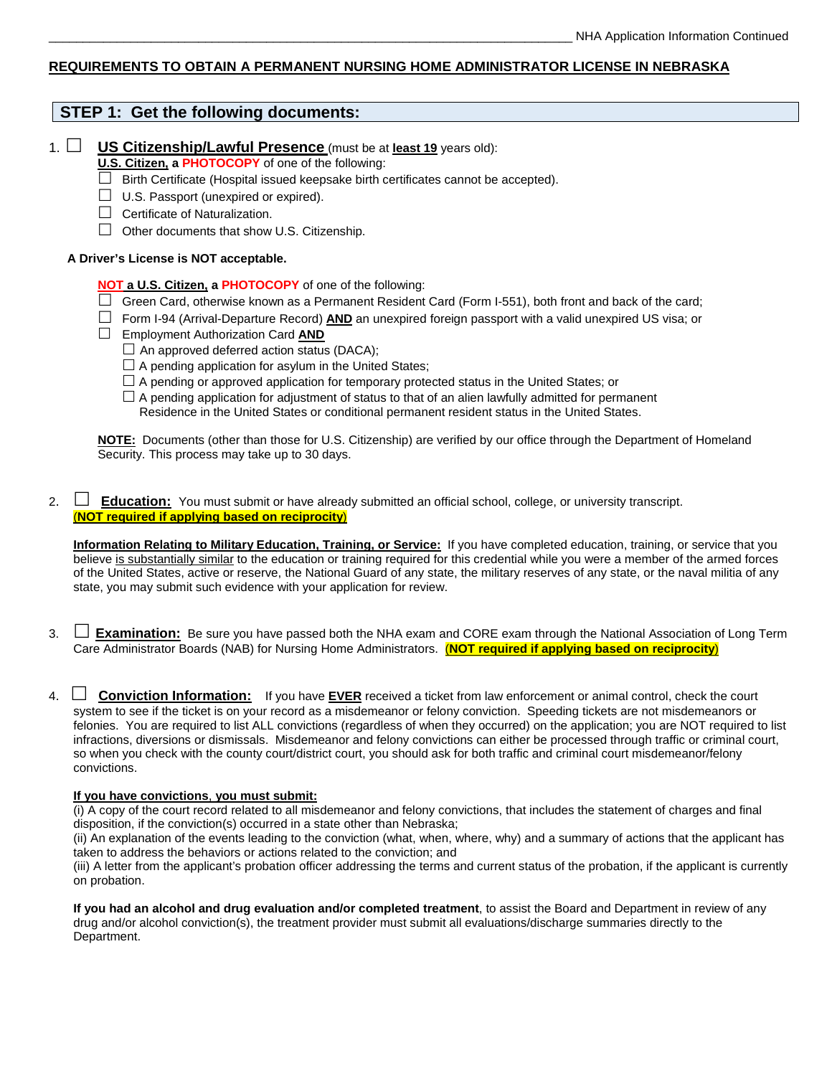#### **REQUIREMENTS TO OBTAIN A PERMANENT NURSING HOME ADMINISTRATOR LICENSE IN NEBRASKA**

### **STEP 1: Get the following documents:**

1. **US Citizenship/Lawful Presence** (must be at **least 19** years old):

**U.S. Citizen, a PHOTOCOPY** of one of the following:

- $\Box$  Birth Certificate (Hospital issued keepsake birth certificates cannot be accepted).
- $\Box$  U.S. Passport (unexpired or expired).
- $\Box$  Certificate of Naturalization.
- $\Box$  Other documents that show U.S. Citizenship.

#### **A Driver's License is NOT acceptable.**

- **NOT a U.S. Citizen, a PHOTOCOPY** of one of the following:
- $\Box$  Green Card, otherwise known as a Permanent Resident Card (Form I-551), both front and back of the card;
- Form I-94 (Arrival-Departure Record) **AND** an unexpired foreign passport with a valid unexpired US visa; or
- Employment Authorization Card **AND** 
	- $\Box$  An approved deferred action status (DACA);
	- $\Box$  A pending application for asylum in the United States;
	- $\Box$  A pending or approved application for temporary protected status in the United States; or
	- $\Box$  A pending application for adjustment of status to that of an alien lawfully admitted for permanent Residence in the United States or conditional permanent resident status in the United States.

**NOTE:** Documents (other than those for U.S. Citizenship) are verified by our office through the Department of Homeland Security. This process may take up to 30 days.

2.  $\Box$  **Education:** You must submit or have already submitted an official school, college, or university transcript. (**NOT required if applying based on reciprocity**)

**Information Relating to Military Education, Training, or Service:** If you have completed education, training, or service that you believe is substantially similar to the education or training required for this credential while you were a member of the armed forces of the United States, active or reserve, the National Guard of any state, the military reserves of any state, or the naval militia of any state, you may submit such evidence with your application for review.

- 3.  $\Box$  **Examination:** Be sure you have passed both the NHA exam and CORE exam through the National Association of Long Term Care Administrator Boards (NAB) for Nursing Home Administrators. (**NOT required if applying based on reciprocity**)
- 4.  $\Box$  **Conviction Information:** If you have **EVER** received a ticket from law enforcement or animal control, check the court system to see if the ticket is on your record as a misdemeanor or felony conviction. Speeding tickets are not misdemeanors or felonies. You are required to list ALL convictions (regardless of when they occurred) on the application; you are NOT required to list infractions, diversions or dismissals. Misdemeanor and felony convictions can either be processed through traffic or criminal court, so when you check with the county court/district court, you should ask for both traffic and criminal court misdemeanor/felony convictions.

#### **If you have convictions**, **you must submit:**

(i) A copy of the court record related to all misdemeanor and felony convictions, that includes the statement of charges and final disposition, if the conviction(s) occurred in a state other than Nebraska;

(ii) An explanation of the events leading to the conviction (what, when, where, why) and a summary of actions that the applicant has taken to address the behaviors or actions related to the conviction; and

(iii) A letter from the applicant's probation officer addressing the terms and current status of the probation, if the applicant is currently on probation.

**If you had an alcohol and drug evaluation and/or completed treatment**, to assist the Board and Department in review of any drug and/or alcohol conviction(s), the treatment provider must submit all evaluations/discharge summaries directly to the Department.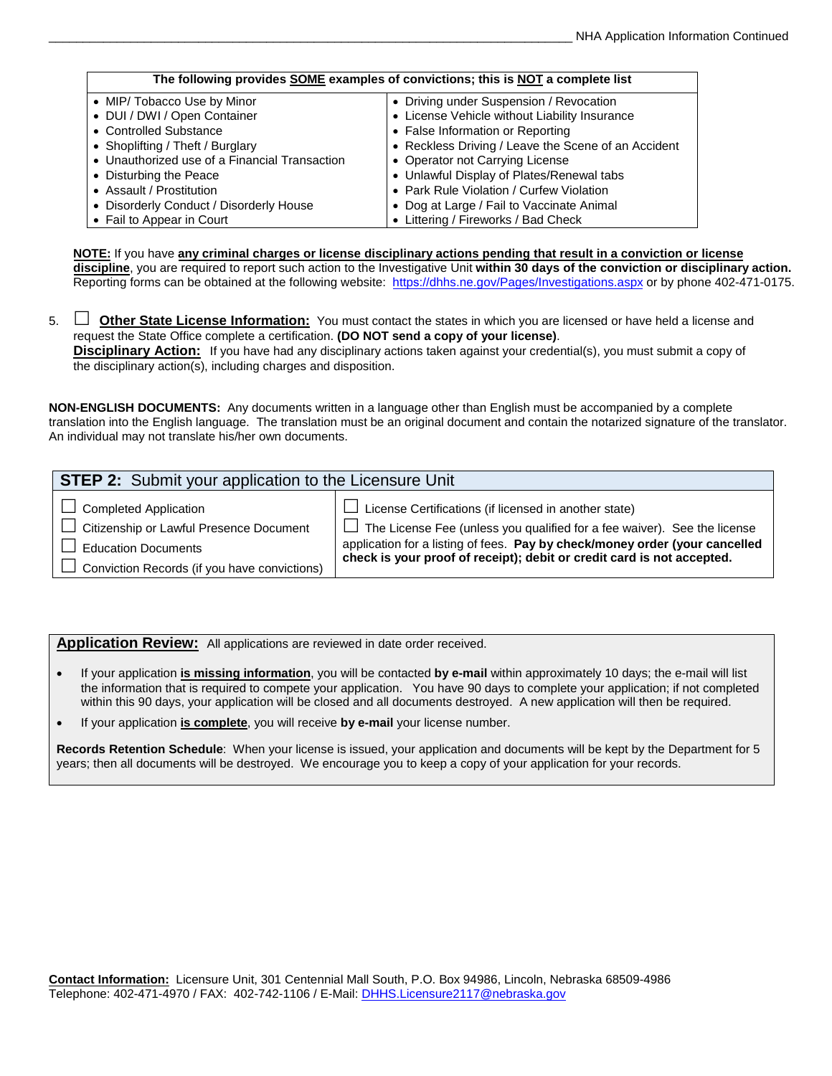| The following provides SOME examples of convictions; this is NOT a complete list |                                                     |  |  |  |
|----------------------------------------------------------------------------------|-----------------------------------------------------|--|--|--|
| • MIP/ Tobacco Use by Minor                                                      | • Driving under Suspension / Revocation             |  |  |  |
| • DUI / DWI / Open Container                                                     | • License Vehicle without Liability Insurance       |  |  |  |
| • Controlled Substance                                                           | • False Information or Reporting                    |  |  |  |
| • Shoplifting / Theft / Burglary                                                 | • Reckless Driving / Leave the Scene of an Accident |  |  |  |
| • Unauthorized use of a Financial Transaction                                    | • Operator not Carrying License                     |  |  |  |
| • Disturbing the Peace                                                           | • Unlawful Display of Plates/Renewal tabs           |  |  |  |
| • Assault / Prostitution                                                         | • Park Rule Violation / Curfew Violation            |  |  |  |
| • Disorderly Conduct / Disorderly House                                          | • Dog at Large / Fail to Vaccinate Animal           |  |  |  |
| • Fail to Appear in Court                                                        | • Littering / Fireworks / Bad Check                 |  |  |  |

**NOTE:** If you have **any criminal charges or license disciplinary actions pending that result in a conviction or license discipline**, you are required to report such action to the Investigative Unit **within 30 days of the conviction or disciplinary action.**  Reporting forms can be obtained at the following website: https[://dhhs.ne.gov/Pages/Investigations.aspx](https://dhhs.ne.gov/Pages/Investigations.aspx) or by phone 402-471-0175.

5. **Dether State License Information:** You must contact the states in which you are licensed or have held a license and request the State Office complete a certification. **(DO NOT send a copy of your license)**. **Disciplinary Action:** If you have had any disciplinary actions taken against your credential(s), you must submit a copy of the disciplinary action(s), including charges and disposition.

**NON-ENGLISH DOCUMENTS:** Any documents written in a language other than English must be accompanied by a complete translation into the English language. The translation must be an original document and contain the notarized signature of the translator. An individual may not translate his/her own documents.

| <b>STEP 2:</b> Submit your application to the Licensure Unit |                                                                                 |
|--------------------------------------------------------------|---------------------------------------------------------------------------------|
| $\Box$ Completed Application                                 | $\perp$ License Certifications (if licensed in another state)                   |
| Citizenship or Lawful Presence Document                      | $\Box$ The License Fee (unless you qualified for a fee waiver). See the license |
| Education Documents                                          | application for a listing of fees. Pay by check/money order (your cancelled     |
| $\Box$ Conviction Records (if you have convictions)          | check is your proof of receipt); debit or credit card is not accepted.          |

**Application Review:** All applications are reviewed in date order received.

- If your application **is missing information**, you will be contacted **by e-mail** within approximately 10 days; the e-mail will list the information that is required to compete your application. You have 90 days to complete your application; if not completed within this 90 days, your application will be closed and all documents destroyed. A new application will then be required.
- If your application **is complete**, you will receive **by e-mail** your license number.

**Records Retention Schedule**: When your license is issued, your application and documents will be kept by the Department for 5 years; then all documents will be destroyed. We encourage you to keep a copy of your application for your records.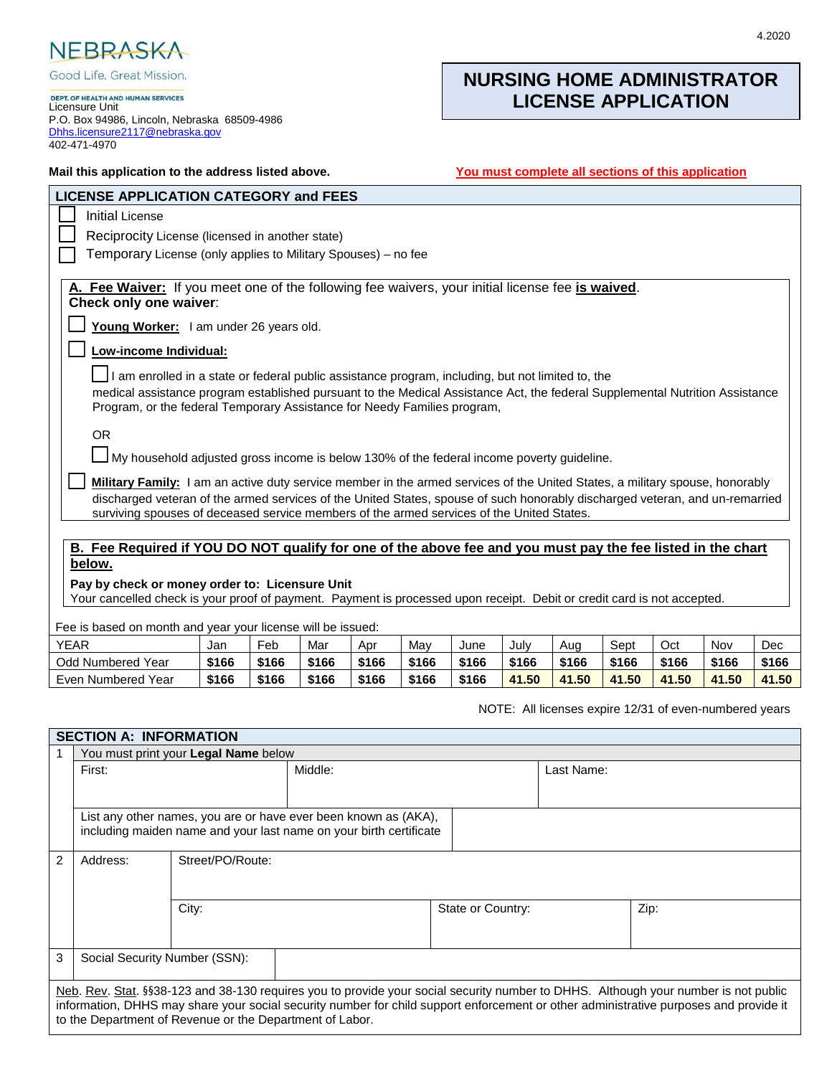

Good Life. Great Mission.

DEPT. OF HEALTH AND HUMAN SERVICES<br>Licensure Unit P.O. Box 94986, Lincoln, Nebraska 68509-4986 [Dhhs.licensure2117@nebraska.gov](mailto:Dhhs.licensure2117@nebraska.gov) 402-471-4970

## **NURSING HOME ADMINISTRATOR LICENSE APPLICATION**

| You must complete all sections of this application<br>Mail this application to the address listed above.                                                                                                                                                                                                                                                  |                                                                                                                            |       |       |       |       |       |       |       |       |       |       |       |
|-----------------------------------------------------------------------------------------------------------------------------------------------------------------------------------------------------------------------------------------------------------------------------------------------------------------------------------------------------------|----------------------------------------------------------------------------------------------------------------------------|-------|-------|-------|-------|-------|-------|-------|-------|-------|-------|-------|
| <b>LICENSE APPLICATION CATEGORY and FEES</b>                                                                                                                                                                                                                                                                                                              |                                                                                                                            |       |       |       |       |       |       |       |       |       |       |       |
| <b>Initial License</b>                                                                                                                                                                                                                                                                                                                                    |                                                                                                                            |       |       |       |       |       |       |       |       |       |       |       |
| Reciprocity License (licensed in another state)                                                                                                                                                                                                                                                                                                           |                                                                                                                            |       |       |       |       |       |       |       |       |       |       |       |
| Temporary License (only applies to Military Spouses) - no fee                                                                                                                                                                                                                                                                                             |                                                                                                                            |       |       |       |       |       |       |       |       |       |       |       |
|                                                                                                                                                                                                                                                                                                                                                           | A. Fee Waiver: If you meet one of the following fee waivers, your initial license fee is waived.<br>Check only one waiver: |       |       |       |       |       |       |       |       |       |       |       |
| Young Worker: I am under 26 years old.<br>Low-income Individual:                                                                                                                                                                                                                                                                                          |                                                                                                                            |       |       |       |       |       |       |       |       |       |       |       |
| I am enrolled in a state or federal public assistance program, including, but not limited to, the<br>medical assistance program established pursuant to the Medical Assistance Act, the federal Supplemental Nutrition Assistance<br>Program, or the federal Temporary Assistance for Needy Families program,                                             |                                                                                                                            |       |       |       |       |       |       |       |       |       |       |       |
| <b>OR</b><br>$\Box$ My household adjusted gross income is below 130% of the federal income poverty guideline.                                                                                                                                                                                                                                             |                                                                                                                            |       |       |       |       |       |       |       |       |       |       |       |
| Military Family: I am an active duty service member in the armed services of the United States, a military spouse, honorably<br>discharged veteran of the armed services of the United States, spouse of such honorably discharged veteran, and un-remarried<br>surviving spouses of deceased service members of the armed services of the United States. |                                                                                                                            |       |       |       |       |       |       |       |       |       |       |       |
| B. Fee Required if YOU DO NOT qualify for one of the above fee and you must pay the fee listed in the chart                                                                                                                                                                                                                                               |                                                                                                                            |       |       |       |       |       |       |       |       |       |       |       |
| below.<br>Pay by check or money order to: Licensure Unit                                                                                                                                                                                                                                                                                                  |                                                                                                                            |       |       |       |       |       |       |       |       |       |       |       |
| Your cancelled check is your proof of payment. Payment is processed upon receipt. Debit or credit card is not accepted.                                                                                                                                                                                                                                   |                                                                                                                            |       |       |       |       |       |       |       |       |       |       |       |
| Fee is based on month and year your license will be issued:                                                                                                                                                                                                                                                                                               |                                                                                                                            |       |       |       |       |       |       |       |       |       |       |       |
| <b>YEAR</b>                                                                                                                                                                                                                                                                                                                                               | Jan                                                                                                                        | Feb   | Mar   | Apr   | May   | June  | July  | Aug   | Sept  | Oct   | Nov   | Dec   |
| <b>Odd Numbered Year</b>                                                                                                                                                                                                                                                                                                                                  | \$166                                                                                                                      | \$166 | \$166 | \$166 | \$166 | \$166 | \$166 | \$166 | \$166 | \$166 | \$166 | \$166 |
| Even Numbered Year                                                                                                                                                                                                                                                                                                                                        | \$166                                                                                                                      | \$166 | \$166 | \$166 | \$166 | \$166 | 41.50 | 41.50 | 41.50 | 41.50 | 41.50 | 41.50 |

NOTE: All licenses expire 12/31 of even-numbered years

#### **SECTION A: INFORMATION**

|                | You must print your Legal Name below                                                                                                                                                                                                                                                                                                     |                  |         |                   |            |      |
|----------------|------------------------------------------------------------------------------------------------------------------------------------------------------------------------------------------------------------------------------------------------------------------------------------------------------------------------------------------|------------------|---------|-------------------|------------|------|
|                | First:                                                                                                                                                                                                                                                                                                                                   |                  | Middle: |                   | Last Name: |      |
|                |                                                                                                                                                                                                                                                                                                                                          |                  |         |                   |            |      |
|                | List any other names, you are or have ever been known as (AKA),<br>including maiden name and your last name on your birth certificate                                                                                                                                                                                                    |                  |         |                   |            |      |
| $\overline{2}$ | Address:                                                                                                                                                                                                                                                                                                                                 | Street/PO/Route: |         |                   |            |      |
|                |                                                                                                                                                                                                                                                                                                                                          | City:            |         | State or Country: |            | Zip: |
| 3              | Social Security Number (SSN):                                                                                                                                                                                                                                                                                                            |                  |         |                   |            |      |
|                | Neb. Rev. Stat. §§38-123 and 38-130 requires you to provide your social security number to DHHS. Although your number is not public<br>information, DHHS may share your social security number for child support enforcement or other administrative purposes and provide it<br>to the Department of Revenue or the Department of Labor. |                  |         |                   |            |      |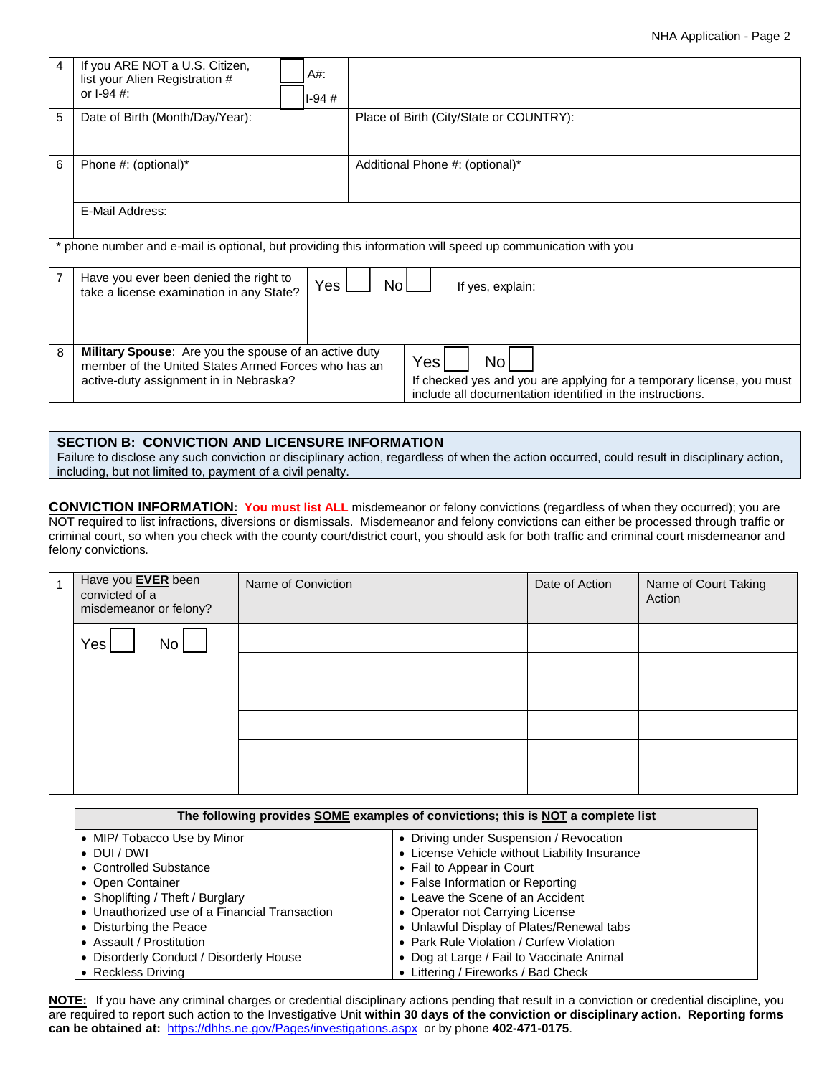#### NHA Application - Page 2

| 4                                    | If you ARE NOT a U.S. Citizen,<br>list your Alien Registration #<br>or $1-94$ #:                                                                       | A#:<br>I-94 # |                                                                                                                                                 |  |  |  |  |
|--------------------------------------|--------------------------------------------------------------------------------------------------------------------------------------------------------|---------------|-------------------------------------------------------------------------------------------------------------------------------------------------|--|--|--|--|
| 5<br>Date of Birth (Month/Day/Year): |                                                                                                                                                        |               | Place of Birth (City/State or COUNTRY):                                                                                                         |  |  |  |  |
| 6                                    | Phone #: (optional)*                                                                                                                                   |               | Additional Phone #: (optional)*                                                                                                                 |  |  |  |  |
|                                      | E-Mail Address:                                                                                                                                        |               |                                                                                                                                                 |  |  |  |  |
|                                      |                                                                                                                                                        |               | * phone number and e-mail is optional, but providing this information will speed up communication with you                                      |  |  |  |  |
| $\overline{7}$                       | Have you ever been denied the right to<br>Yes<br>No<br>If yes, explain:<br>take a license examination in any State?                                    |               |                                                                                                                                                 |  |  |  |  |
| 8                                    | Military Spouse: Are you the spouse of an active duty<br>member of the United States Armed Forces who has an<br>active-duty assignment in in Nebraska? |               | Yes<br>No<br>If checked yes and you are applying for a temporary license, you must<br>include all documentation identified in the instructions. |  |  |  |  |

#### **SECTION B: CONVICTION AND LICENSURE INFORMATION**

Failure to disclose any such conviction or disciplinary action, regardless of when the action occurred, could result in disciplinary action, including, but not limited to, payment of a civil penalty.

**CONVICTION INFORMATION: You must list ALL** misdemeanor or felony convictions (regardless of when they occurred); you are NOT required to list infractions, diversions or dismissals. Misdemeanor and felony convictions can either be processed through traffic or criminal court, so when you check with the county court/district court, you should ask for both traffic and criminal court misdemeanor and felony convictions.

| Have you <b>EVER</b> been<br>convicted of a<br>misdemeanor or felony? | Name of Conviction | Date of Action | Name of Court Taking<br>Action |
|-----------------------------------------------------------------------|--------------------|----------------|--------------------------------|
| Yes<br>No <sub>1</sub>                                                |                    |                |                                |
|                                                                       |                    |                |                                |
|                                                                       |                    |                |                                |
|                                                                       |                    |                |                                |
|                                                                       |                    |                |                                |
|                                                                       |                    |                |                                |

| The following provides <b>SOME</b> examples of convictions; this is <b>NOT</b> a complete list |                                               |  |  |  |
|------------------------------------------------------------------------------------------------|-----------------------------------------------|--|--|--|
| • MIP/ Tobacco Use by Minor                                                                    | • Driving under Suspension / Revocation       |  |  |  |
| $\bullet$ DUI/DWI                                                                              | • License Vehicle without Liability Insurance |  |  |  |
| • Controlled Substance                                                                         | • Fail to Appear in Court                     |  |  |  |
| • Open Container                                                                               | • False Information or Reporting              |  |  |  |
| • Shoplifting / Theft / Burglary                                                               | • Leave the Scene of an Accident              |  |  |  |
| • Unauthorized use of a Financial Transaction                                                  | • Operator not Carrying License               |  |  |  |
| • Disturbing the Peace                                                                         | • Unlawful Display of Plates/Renewal tabs     |  |  |  |
| • Assault / Prostitution                                                                       | • Park Rule Violation / Curfew Violation      |  |  |  |
| • Disorderly Conduct / Disorderly House                                                        | • Dog at Large / Fail to Vaccinate Animal     |  |  |  |
| • Reckless Driving                                                                             | • Littering / Fireworks / Bad Check           |  |  |  |

**NOTE:** If you have any criminal charges or credential disciplinary actions pending that result in a conviction or credential discipline, you are required to report such action to the Investigative Unit **within 30 days of the conviction or disciplinary action. Reporting forms can be obtained at:** https[://dhhs.ne.gov/Pages/investigations.aspx](https://dhhs.ne.gov/Pages/Investigations.aspx) or by phone **402-471-0175**.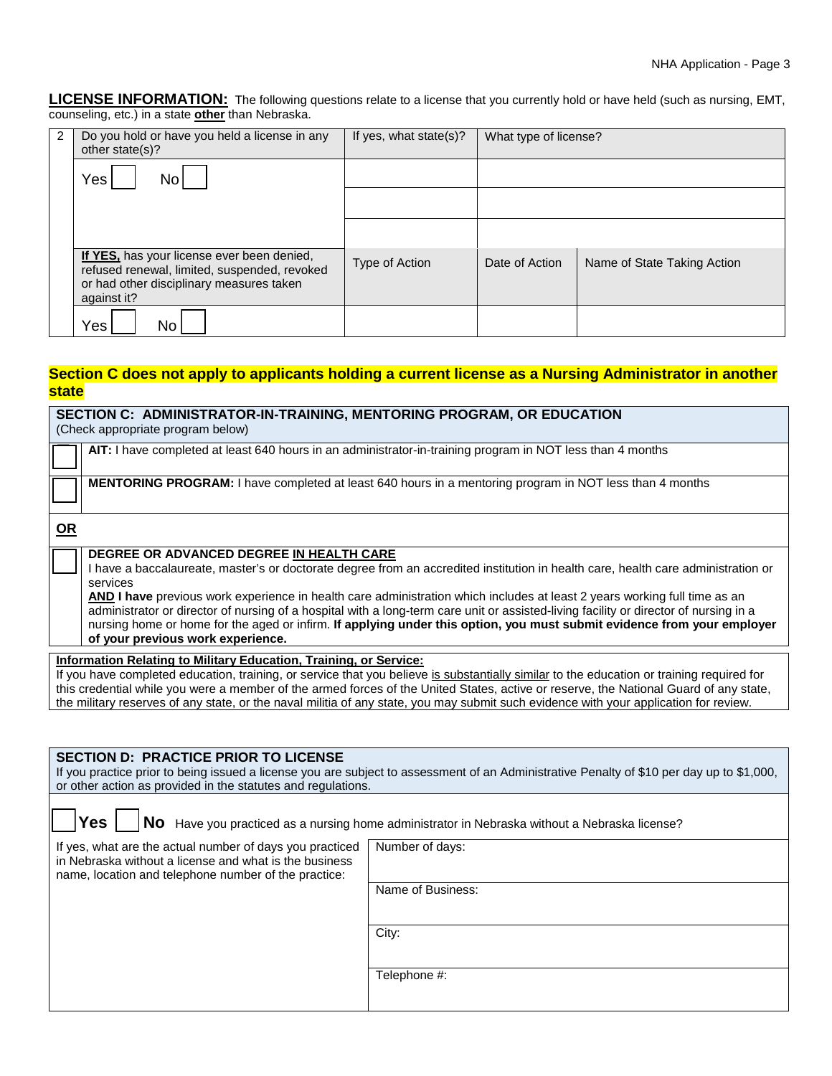**LICENSE INFORMATION:** The following questions relate to a license that you currently hold or have held (such as nursing, EMT, counseling, etc.) in a state **other** than Nebraska.

| 2 | Do you hold or have you held a license in any<br>other state(s)?                                                                                      | If yes, what state(s)? | What type of license? |                             |
|---|-------------------------------------------------------------------------------------------------------------------------------------------------------|------------------------|-----------------------|-----------------------------|
|   | Yes<br>No.                                                                                                                                            |                        |                       |                             |
|   |                                                                                                                                                       |                        |                       |                             |
|   |                                                                                                                                                       |                        |                       |                             |
|   | If YES, has your license ever been denied,<br>refused renewal, limited, suspended, revoked<br>or had other disciplinary measures taken<br>against it? | Type of Action         | Date of Action        | Name of State Taking Action |
|   | Yes<br>No                                                                                                                                             |                        |                       |                             |

### **Section C does not apply to applicants holding a current license as a Nursing Administrator in another state**

| SECTION C: ADMINISTRATOR-IN-TRAINING, MENTORING PROGRAM, OR EDUCATION<br>(Check appropriate program below)                                                                                                                                                                                                                                                                                                                                                                                                                                                                                                                      |  |  |  |  |  |  |
|---------------------------------------------------------------------------------------------------------------------------------------------------------------------------------------------------------------------------------------------------------------------------------------------------------------------------------------------------------------------------------------------------------------------------------------------------------------------------------------------------------------------------------------------------------------------------------------------------------------------------------|--|--|--|--|--|--|
| AIT: I have completed at least 640 hours in an administrator-in-training program in NOT less than 4 months                                                                                                                                                                                                                                                                                                                                                                                                                                                                                                                      |  |  |  |  |  |  |
| MENTORING PROGRAM: I have completed at least 640 hours in a mentoring program in NOT less than 4 months                                                                                                                                                                                                                                                                                                                                                                                                                                                                                                                         |  |  |  |  |  |  |
| <u>OR</u>                                                                                                                                                                                                                                                                                                                                                                                                                                                                                                                                                                                                                       |  |  |  |  |  |  |
| DEGREE OR ADVANCED DEGREE IN HEALTH CARE<br>I have a baccalaureate, master's or doctorate degree from an accredited institution in health care, health care administration or<br>services<br>AND I have previous work experience in health care administration which includes at least 2 years working full time as an<br>administrator or director of nursing of a hospital with a long-term care unit or assisted-living facility or director of nursing in a<br>nursing home or home for the aged or infirm. If applying under this option, you must submit evidence from your employer<br>of your previous work experience. |  |  |  |  |  |  |
| Information Relating to Military Education, Training, or Service:<br>If you have completed education, training, or service that you believe is substantially similar to the education or training required for<br>this credential while you were a member of the armed forces of the United States, active or reserve, the National Guard of any state,<br>the military reserves of any state, or the naval militia of any state, you may submit such evidence with your application for review.                                                                                                                                |  |  |  |  |  |  |

| <b>SECTION D: PRACTICE PRIOR TO LICENSE</b><br>If you practice prior to being issued a license you are subject to assessment of an Administrative Penalty of \$10 per day up to \$1,000,<br>or other action as provided in the statutes and regulations. |                                                                                               |  |  |  |  |
|----------------------------------------------------------------------------------------------------------------------------------------------------------------------------------------------------------------------------------------------------------|-----------------------------------------------------------------------------------------------|--|--|--|--|
| <b>Yes</b>                                                                                                                                                                                                                                               | No Have you practiced as a nursing home administrator in Nebraska without a Nebraska license? |  |  |  |  |
| If yes, what are the actual number of days you practiced<br>in Nebraska without a license and what is the business<br>name, location and telephone number of the practice:                                                                               | Number of days:                                                                               |  |  |  |  |
|                                                                                                                                                                                                                                                          | Name of Business:                                                                             |  |  |  |  |
|                                                                                                                                                                                                                                                          | City:                                                                                         |  |  |  |  |
|                                                                                                                                                                                                                                                          | Telephone #:                                                                                  |  |  |  |  |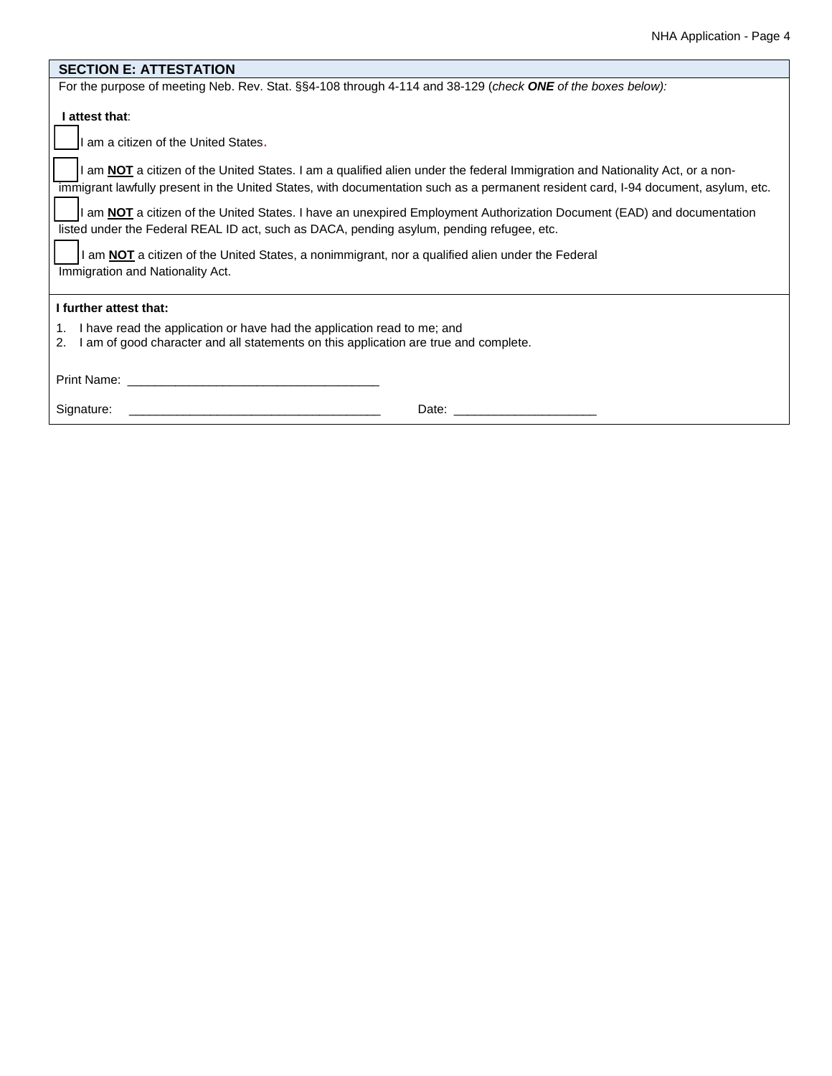| <b>SECTION E: ATTESTATION</b>                                                                                                                                                                                                                                      |  |  |  |  |  |
|--------------------------------------------------------------------------------------------------------------------------------------------------------------------------------------------------------------------------------------------------------------------|--|--|--|--|--|
| For the purpose of meeting Neb. Rev. Stat. §§4-108 through 4-114 and 38-129 (check ONE of the boxes below):                                                                                                                                                        |  |  |  |  |  |
| I attest that:                                                                                                                                                                                                                                                     |  |  |  |  |  |
| I am a citizen of the United States.                                                                                                                                                                                                                               |  |  |  |  |  |
| I am NOT a citizen of the United States. I am a qualified alien under the federal Immigration and Nationality Act, or a non-<br>immigrant lawfully present in the United States, with documentation such as a permanent resident card, I-94 document, asylum, etc. |  |  |  |  |  |
| I am NOT a citizen of the United States. I have an unexpired Employment Authorization Document (EAD) and documentation<br>listed under the Federal REAL ID act, such as DACA, pending asylum, pending refugee, etc.                                                |  |  |  |  |  |
| I am NOT a citizen of the United States, a nonimmigrant, nor a qualified alien under the Federal                                                                                                                                                                   |  |  |  |  |  |
| Immigration and Nationality Act.                                                                                                                                                                                                                                   |  |  |  |  |  |
| I further attest that:                                                                                                                                                                                                                                             |  |  |  |  |  |
| I have read the application or have had the application read to me; and<br>1.<br>I am of good character and all statements on this application are true and complete.<br>2.                                                                                        |  |  |  |  |  |
|                                                                                                                                                                                                                                                                    |  |  |  |  |  |
| Signature:<br><u> 1980 - Jan Sterling von Berling von Berling von Berling von Berling von Berling von Berling von Berling von B</u>                                                                                                                                |  |  |  |  |  |